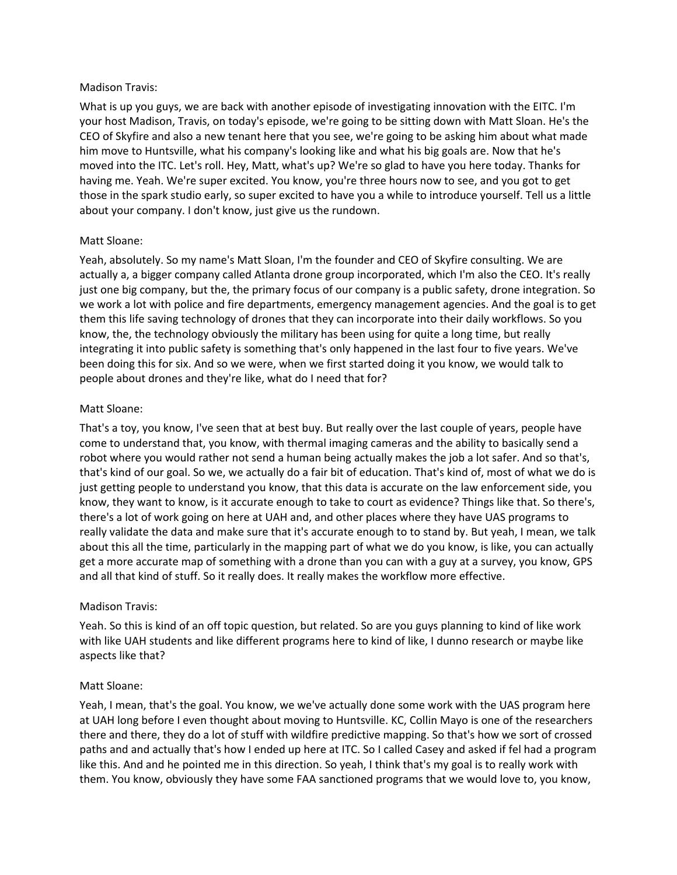#### Madison Travis:

What is up you guys, we are back with another episode of investigating innovation with the EITC. I'm your host Madison, Travis, on today's episode, we're going to be sitting down with Matt Sloan. He's the CEO of Skyfire and also a new tenant here that you see, we're going to be asking him about what made him move to Huntsville, what his company's looking like and what his big goals are. Now that he's moved into the ITC. Let's roll. Hey, Matt, what's up? We're so glad to have you here today. Thanks for having me. Yeah. We're super excited. You know, you're three hours now to see, and you got to get those in the spark studio early, so super excited to have you a while to introduce yourself. Tell us a little about your company. I don't know, just give us the rundown.

# Matt Sloane:

Yeah, absolutely. So my name's Matt Sloan, I'm the founder and CEO of Skyfire consulting. We are actually a, a bigger company called Atlanta drone group incorporated, which I'm also the CEO. It's really just one big company, but the, the primary focus of our company is a public safety, drone integration. So we work a lot with police and fire departments, emergency management agencies. And the goal is to get them this life saving technology of drones that they can incorporate into their daily workflows. So you know, the, the technology obviously the military has been using for quite a long time, but really integrating it into public safety is something that's only happened in the last four to five years. We've been doing this for six. And so we were, when we first started doing it you know, we would talk to people about drones and they're like, what do I need that for?

# Matt Sloane:

That's a toy, you know, I've seen that at best buy. But really over the last couple of years, people have come to understand that, you know, with thermal imaging cameras and the ability to basically send a robot where you would rather not send a human being actually makes the job a lot safer. And so that's, that's kind of our goal. So we, we actually do a fair bit of education. That's kind of, most of what we do is just getting people to understand you know, that this data is accurate on the law enforcement side, you know, they want to know, is it accurate enough to take to court as evidence? Things like that. So there's, there's a lot of work going on here at UAH and, and other places where they have UAS programs to really validate the data and make sure that it's accurate enough to to stand by. But yeah, I mean, we talk about this all the time, particularly in the mapping part of what we do you know, is like, you can actually get a more accurate map of something with a drone than you can with a guy at a survey, you know, GPS and all that kind of stuff. So it really does. It really makes the workflow more effective.

## Madison Travis:

Yeah. So this is kind of an off topic question, but related. So are you guys planning to kind of like work with like UAH students and like different programs here to kind of like, I dunno research or maybe like aspects like that?

## Matt Sloane:

Yeah, I mean, that's the goal. You know, we we've actually done some work with the UAS program here at UAH long before I even thought about moving to Huntsville. KC, Collin Mayo is one of the researchers there and there, they do a lot of stuff with wildfire predictive mapping. So that's how we sort of crossed paths and and actually that's how I ended up here at ITC. So I called Casey and asked if fel had a program like this. And and he pointed me in this direction. So yeah, I think that's my goal is to really work with them. You know, obviously they have some FAA sanctioned programs that we would love to, you know,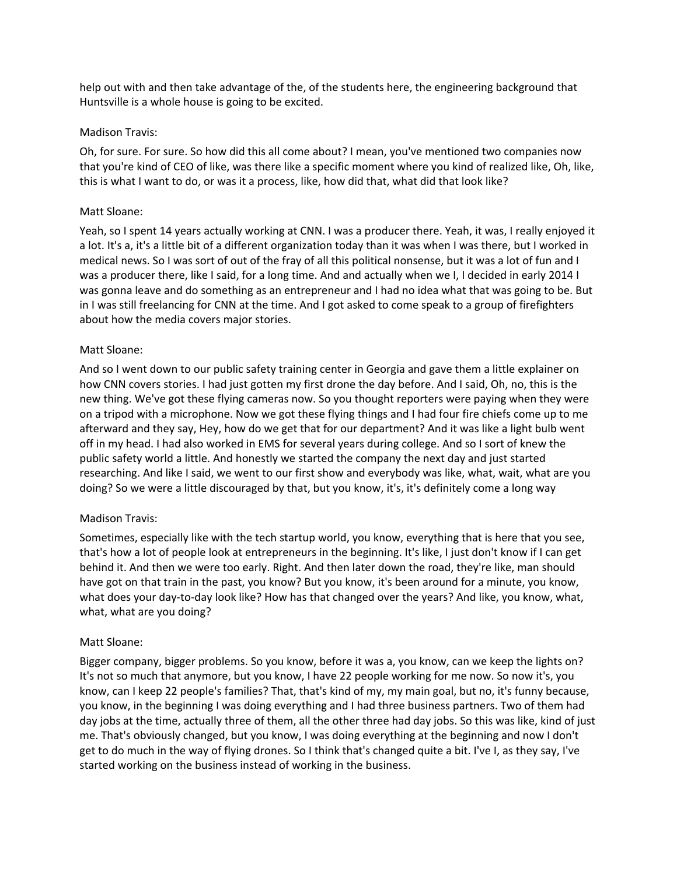help out with and then take advantage of the, of the students here, the engineering background that Huntsville is a whole house is going to be excited.

#### Madison Travis:

Oh, for sure. For sure. So how did this all come about? I mean, you've mentioned two companies now that you're kind of CEO of like, was there like a specific moment where you kind of realized like, Oh, like, this is what I want to do, or was it a process, like, how did that, what did that look like?

#### Matt Sloane:

Yeah, so I spent 14 years actually working at CNN. I was a producer there. Yeah, it was, I really enjoyed it a lot. It's a, it's a little bit of a different organization today than it was when I was there, but I worked in medical news. So I was sort of out of the fray of all this political nonsense, but it was a lot of fun and I was a producer there, like I said, for a long time. And and actually when we I, I decided in early 2014 I was gonna leave and do something as an entrepreneur and I had no idea what that was going to be. But in I was still freelancing for CNN at the time. And I got asked to come speak to a group of firefighters about how the media covers major stories.

## Matt Sloane:

And so I went down to our public safety training center in Georgia and gave them a little explainer on how CNN covers stories. I had just gotten my first drone the day before. And I said, Oh, no, this is the new thing. We've got these flying cameras now. So you thought reporters were paying when they were on a tripod with a microphone. Now we got these flying things and I had four fire chiefs come up to me afterward and they say, Hey, how do we get that for our department? And it was like a light bulb went off in my head. I had also worked in EMS for several years during college. And so I sort of knew the public safety world a little. And honestly we started the company the next day and just started researching. And like I said, we went to our first show and everybody was like, what, wait, what are you doing? So we were a little discouraged by that, but you know, it's, it's definitely come a long way

## Madison Travis:

Sometimes, especially like with the tech startup world, you know, everything that is here that you see, that's how a lot of people look at entrepreneurs in the beginning. It's like, I just don't know if I can get behind it. And then we were too early. Right. And then later down the road, they're like, man should have got on that train in the past, you know? But you know, it's been around for a minute, you know, what does your day-to-day look like? How has that changed over the years? And like, you know, what, what, what are you doing?

## Matt Sloane:

Bigger company, bigger problems. So you know, before it was a, you know, can we keep the lights on? It's not so much that anymore, but you know, I have 22 people working for me now. So now it's, you know, can I keep 22 people's families? That, that's kind of my, my main goal, but no, it's funny because, you know, in the beginning I was doing everything and I had three business partners. Two of them had day jobs at the time, actually three of them, all the other three had day jobs. So this was like, kind of just me. That's obviously changed, but you know, I was doing everything at the beginning and now I don't get to do much in the way of flying drones. So I think that's changed quite a bit. I've I, as they say, I've started working on the business instead of working in the business.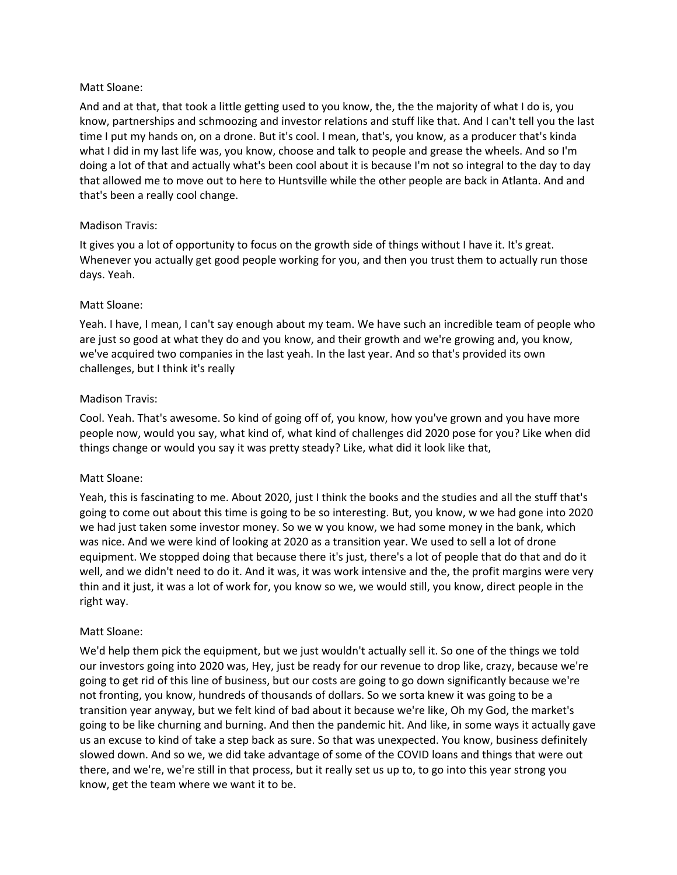And and at that, that took a little getting used to you know, the, the the majority of what I do is, you know, partnerships and schmoozing and investor relations and stuff like that. And I can't tell you the last time I put my hands on, on a drone. But it's cool. I mean, that's, you know, as a producer that's kinda what I did in my last life was, you know, choose and talk to people and grease the wheels. And so I'm doing a lot of that and actually what's been cool about it is because I'm not so integral to the day to day that allowed me to move out to here to Huntsville while the other people are back in Atlanta. And and that's been a really cool change.

## Madison Travis:

It gives you a lot of opportunity to focus on the growth side of things without I have it. It's great. Whenever you actually get good people working for you, and then you trust them to actually run those days. Yeah.

#### Matt Sloane:

Yeah. I have, I mean, I can't say enough about my team. We have such an incredible team of people who are just so good at what they do and you know, and their growth and we're growing and, you know, we've acquired two companies in the last yeah. In the last year. And so that's provided its own challenges, but I think it's really

#### Madison Travis:

Cool. Yeah. That's awesome. So kind of going off of, you know, how you've grown and you have more people now, would you say, what kind of, what kind of challenges did 2020 pose for you? Like when did things change or would you say it was pretty steady? Like, what did it look like that,

#### Matt Sloane:

Yeah, this is fascinating to me. About 2020, just I think the books and the studies and all the stuff that's going to come out about this time is going to be so interesting. But, you know, w we had gone into 2020 we had just taken some investor money. So we w you know, we had some money in the bank, which was nice. And we were kind of looking at 2020 as a transition year. We used to sell a lot of drone equipment. We stopped doing that because there it's just, there's a lot of people that do that and do it well, and we didn't need to do it. And it was, it was work intensive and the, the profit margins were very thin and it just, it was a lot of work for, you know so we, we would still, you know, direct people in the right way.

#### Matt Sloane:

We'd help them pick the equipment, but we just wouldn't actually sell it. So one of the things we told our investors going into 2020 was, Hey, just be ready for our revenue to drop like, crazy, because we're going to get rid of this line of business, but our costs are going to go down significantly because we're not fronting, you know, hundreds of thousands of dollars. So we sorta knew it was going to be a transition year anyway, but we felt kind of bad about it because we're like, Oh my God, the market's going to be like churning and burning. And then the pandemic hit. And like, in some ways it actually gave us an excuse to kind of take a step back as sure. So that was unexpected. You know, business definitely slowed down. And so we, we did take advantage of some of the COVID loans and things that were out there, and we're, we're still in that process, but it really set us up to, to go into this year strong you know, get the team where we want it to be.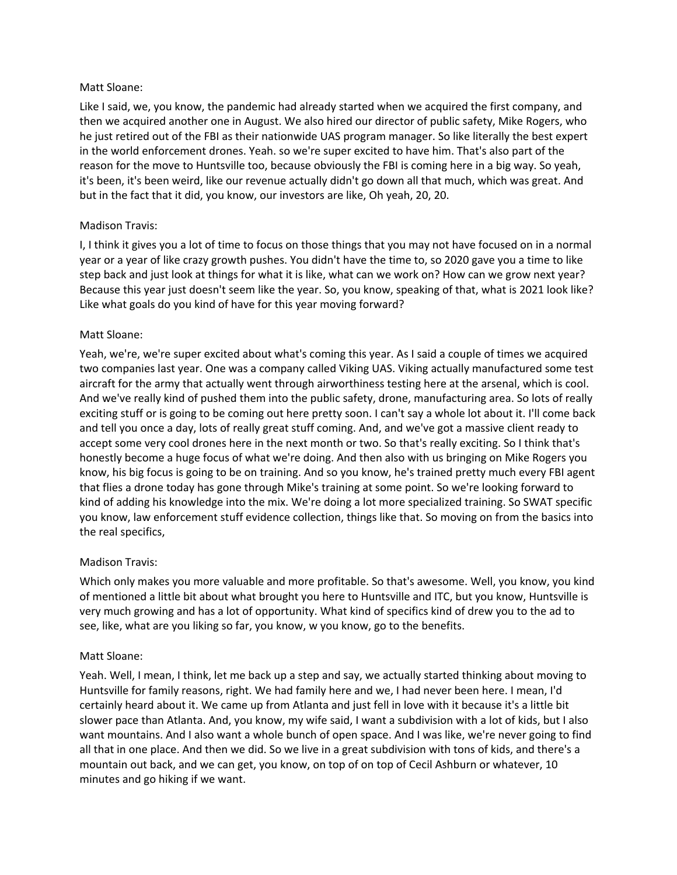Like I said, we, you know, the pandemic had already started when we acquired the first company, and then we acquired another one in August. We also hired our director of public safety, Mike Rogers, who he just retired out of the FBI as their nationwide UAS program manager. So like literally the best expert in the world enforcement drones. Yeah. so we're super excited to have him. That's also part of the reason for the move to Huntsville too, because obviously the FBI is coming here in a big way. So yeah, it's been, it's been weird, like our revenue actually didn't go down all that much, which was great. And but in the fact that it did, you know, our investors are like, Oh yeah, 20, 20.

## Madison Travis:

I, I think it gives you a lot of time to focus on those things that you may not have focused on in a normal year or a year of like crazy growth pushes. You didn't have the time to, so 2020 gave you a time to like step back and just look at things for what it is like, what can we work on? How can we grow next year? Because this year just doesn't seem like the year. So, you know, speaking of that, what is 2021 look like? Like what goals do you kind of have for this year moving forward?

#### Matt Sloane:

Yeah, we're, we're super excited about what's coming this year. As I said a couple of times we acquired two companies last year. One was a company called Viking UAS. Viking actually manufactured some test aircraft for the army that actually went through airworthiness testing here at the arsenal, which is cool. And we've really kind of pushed them into the public safety, drone, manufacturing area. So lots of really exciting stuff or is going to be coming out here pretty soon. I can't say a whole lot about it. I'll come back and tell you once a day, lots of really great stuff coming. And, and we've got a massive client ready to accept some very cool drones here in the next month or two. So that's really exciting. So I think that's honestly become a huge focus of what we're doing. And then also with us bringing on Mike Rogers you know, his big focus is going to be on training. And so you know, he's trained pretty much every FBI agent that flies a drone today has gone through Mike's training at some point. So we're looking forward to kind of adding his knowledge into the mix. We're doing a lot more specialized training. So SWAT specific you know, law enforcement stuff evidence collection, things like that. So moving on from the basics into the real specifics,

## Madison Travis:

Which only makes you more valuable and more profitable. So that's awesome. Well, you know, you kind of mentioned a little bit about what brought you here to Huntsville and ITC, but you know, Huntsville is very much growing and has a lot of opportunity. What kind of specifics kind of drew you to the ad to see, like, what are you liking so far, you know, w you know, go to the benefits.

#### Matt Sloane:

Yeah. Well, I mean, I think, let me back up a step and say, we actually started thinking about moving to Huntsville for family reasons, right. We had family here and we, I had never been here. I mean, I'd certainly heard about it. We came up from Atlanta and just fell in love with it because it's a little bit slower pace than Atlanta. And, you know, my wife said, I want a subdivision with a lot of kids, but I also want mountains. And I also want a whole bunch of open space. And I was like, we're never going to find all that in one place. And then we did. So we live in a great subdivision with tons of kids, and there's a mountain out back, and we can get, you know, on top of on top of Cecil Ashburn or whatever, 10 minutes and go hiking if we want.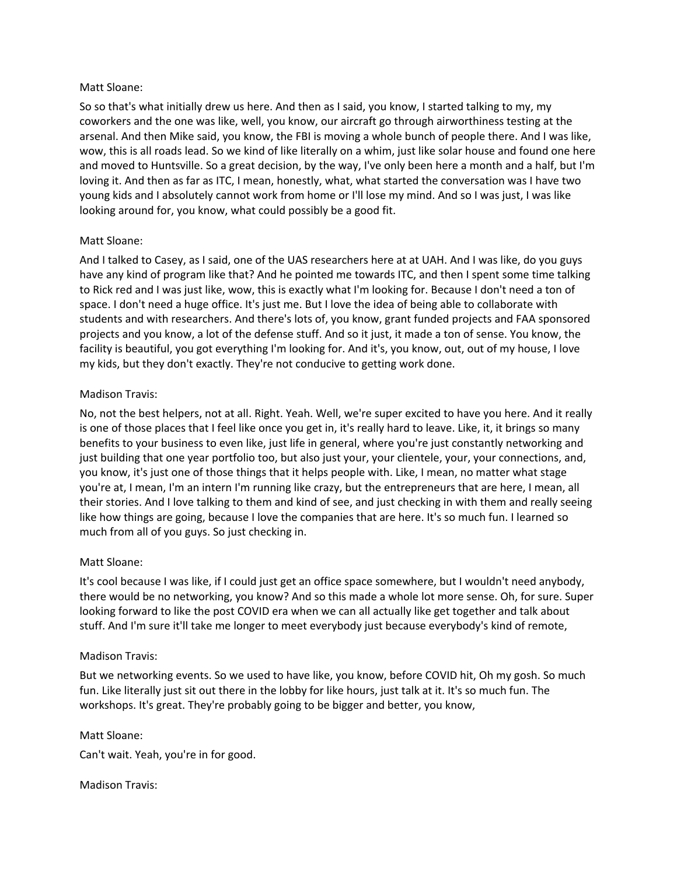So so that's what initially drew us here. And then as I said, you know, I started talking to my, my coworkers and the one was like, well, you know, our aircraft go through airworthiness testing at the arsenal. And then Mike said, you know, the FBI is moving a whole bunch of people there. And I was like, wow, this is all roads lead. So we kind of like literally on a whim, just like solar house and found one here and moved to Huntsville. So a great decision, by the way, I've only been here a month and a half, but I'm loving it. And then as far as ITC, I mean, honestly, what, what started the conversation was I have two young kids and I absolutely cannot work from home or I'll lose my mind. And so I was just, I was like looking around for, you know, what could possibly be a good fit.

# Matt Sloane:

And I talked to Casey, as I said, one of the UAS researchers here at at UAH. And I was like, do you guys have any kind of program like that? And he pointed me towards ITC, and then I spent some time talking to Rick red and I was just like, wow, this is exactly what I'm looking for. Because I don't need a ton of space. I don't need a huge office. It's just me. But I love the idea of being able to collaborate with students and with researchers. And there's lots of, you know, grant funded projects and FAA sponsored projects and you know, a lot of the defense stuff. And so it just, it made a ton of sense. You know, the facility is beautiful, you got everything I'm looking for. And it's, you know, out, out of my house, I love my kids, but they don't exactly. They're not conducive to getting work done.

## Madison Travis:

No, not the best helpers, not at all. Right. Yeah. Well, we're super excited to have you here. And it really is one of those places that I feel like once you get in, it's really hard to leave. Like, it, it brings so many benefits to your business to even like, just life in general, where you're just constantly networking and just building that one year portfolio too, but also just your, your clientele, your, your connections, and, you know, it's just one of those things that it helps people with. Like, I mean, no matter what stage you're at, I mean, I'm an intern I'm running like crazy, but the entrepreneurs that are here, I mean, all their stories. And I love talking to them and kind of see, and just checking in with them and really seeing like how things are going, because I love the companies that are here. It's so much fun. I learned so much from all of you guys. So just checking in.

## Matt Sloane:

It's cool because I was like, if I could just get an office space somewhere, but I wouldn't need anybody, there would be no networking, you know? And so this made a whole lot more sense. Oh, for sure. Super looking forward to like the post COVID era when we can all actually like get together and talk about stuff. And I'm sure it'll take me longer to meet everybody just because everybody's kind of remote,

## Madison Travis:

But we networking events. So we used to have like, you know, before COVID hit, Oh my gosh. So much fun. Like literally just sit out there in the lobby for like hours, just talk at it. It's so much fun. The workshops. It's great. They're probably going to be bigger and better, you know,

## Matt Sloane:

Can't wait. Yeah, you're in for good.

## Madison Travis: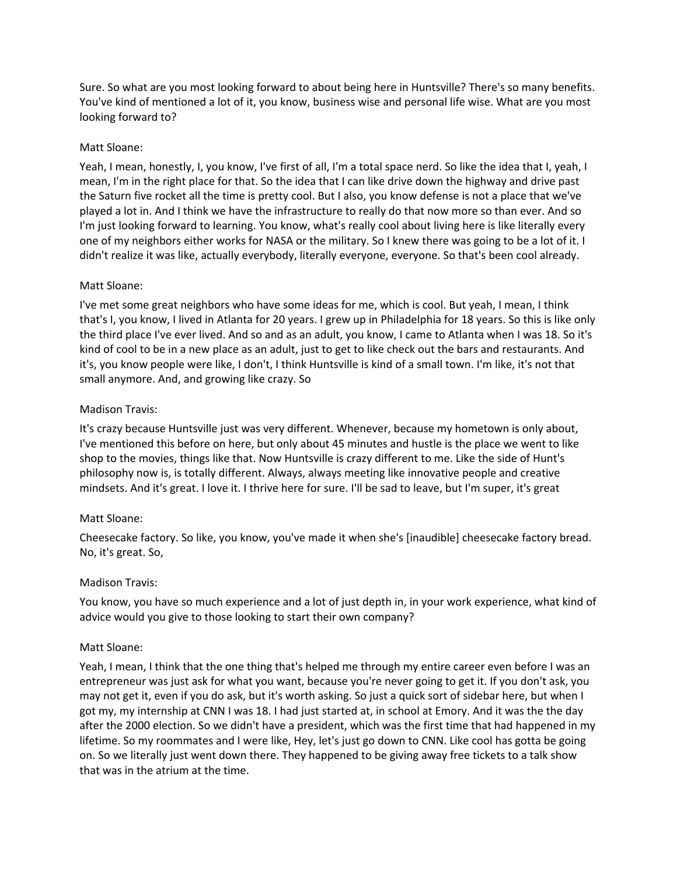Sure. So what are you most looking forward to about being here in Huntsville? There's so many benefits. You've kind of mentioned a lot of it, you know, business wise and personal life wise. What are you most looking forward to?

## Matt Sloane:

Yeah, I mean, honestly, I, you know, I've first of all, I'm a total space nerd. So like the idea that I, yeah, I mean, I'm in the right place for that. So the idea that I can like drive down the highway and drive past the Saturn five rocket all the time is pretty cool. But I also, you know defense is not a place that we've played a lot in. And I think we have the infrastructure to really do that now more so than ever. And so I'm just looking forward to learning. You know, what's really cool about living here is like literally every one of my neighbors either works for NASA or the military. So I knew there was going to be a lot of it. I didn't realize it was like, actually everybody, literally everyone, everyone. So that's been cool already.

#### Matt Sloane:

I've met some great neighbors who have some ideas for me, which is cool. But yeah, I mean, I think that's I, you know, I lived in Atlanta for 20 years. I grew up in Philadelphia for 18 years. So this is like only the third place I've ever lived. And so and as an adult, you know, I came to Atlanta when I was 18. So it's kind of cool to be in a new place as an adult, just to get to like check out the bars and restaurants. And it's, you know people were like, I don't, I think Huntsville is kind of a small town. I'm like, it's not that small anymore. And, and growing like crazy. So

## Madison Travis:

It's crazy because Huntsville just was very different. Whenever, because my hometown is only about, I've mentioned this before on here, but only about 45 minutes and hustle is the place we went to like shop to the movies, things like that. Now Huntsville is crazy different to me. Like the side of Hunt's philosophy now is, is totally different. Always, always meeting like innovative people and creative mindsets. And it's great. I love it. I thrive here for sure. I'll be sad to leave, but I'm super, it's great

## Matt Sloane:

Cheesecake factory. So like, you know, you've made it when she's [inaudible] cheesecake factory bread. No, it's great. So,

#### Madison Travis:

You know, you have so much experience and a lot of just depth in, in your work experience, what kind of advice would you give to those looking to start their own company?

#### Matt Sloane:

Yeah, I mean, I think that the one thing that's helped me through my entire career even before I was an entrepreneur was just ask for what you want, because you're never going to get it. If you don't ask, you may not get it, even if you do ask, but it's worth asking. So just a quick sort of sidebar here, but when I got my, my internship at CNN I was 18. I had just started at, in school at Emory. And it was the the day after the 2000 election. So we didn't have a president, which was the first time that had happened in my lifetime. So my roommates and I were like, Hey, let's just go down to CNN. Like cool has gotta be going on. So we literally just went down there. They happened to be giving away free tickets to a talk show that was in the atrium at the time.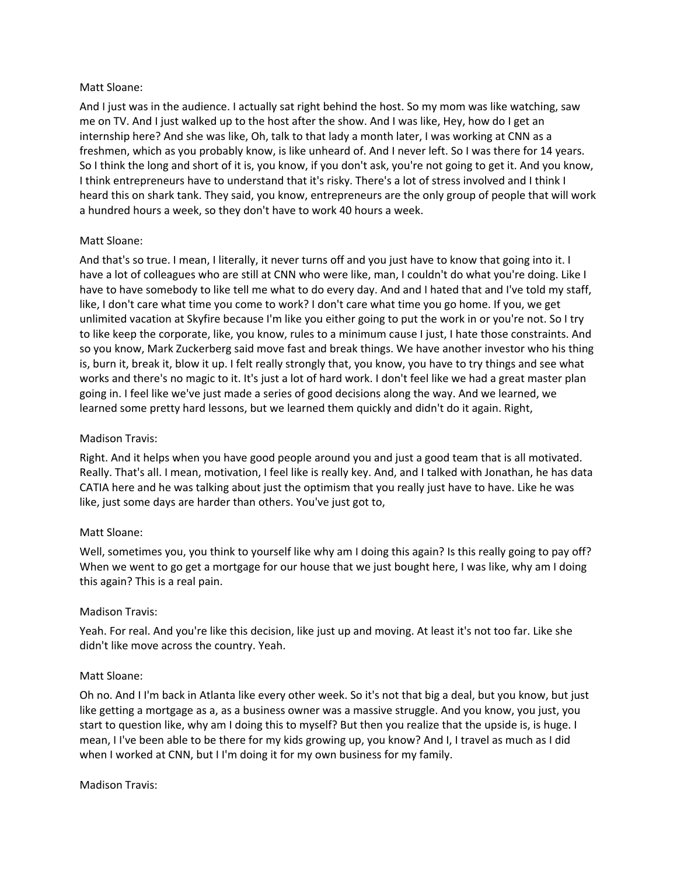And I just was in the audience. I actually sat right behind the host. So my mom was like watching, saw me on TV. And I just walked up to the host after the show. And I was like, Hey, how do I get an internship here? And she was like, Oh, talk to that lady a month later, I was working at CNN as a freshmen, which as you probably know, is like unheard of. And I never left. So I was there for 14 years. So I think the long and short of it is, you know, if you don't ask, you're not going to get it. And you know, I think entrepreneurs have to understand that it's risky. There's a lot of stress involved and I think I heard this on shark tank. They said, you know, entrepreneurs are the only group of people that will work a hundred hours a week, so they don't have to work 40 hours a week.

# Matt Sloane:

And that's so true. I mean, I literally, it never turns off and you just have to know that going into it. I have a lot of colleagues who are still at CNN who were like, man, I couldn't do what you're doing. Like I have to have somebody to like tell me what to do every day. And and I hated that and I've told my staff, like, I don't care what time you come to work? I don't care what time you go home. If you, we get unlimited vacation at Skyfire because I'm like you either going to put the work in or you're not. So I try to like keep the corporate, like, you know, rules to a minimum cause I just, I hate those constraints. And so you know, Mark Zuckerberg said move fast and break things. We have another investor who his thing is, burn it, break it, blow it up. I felt really strongly that, you know, you have to try things and see what works and there's no magic to it. It's just a lot of hard work. I don't feel like we had a great master plan going in. I feel like we've just made a series of good decisions along the way. And we learned, we learned some pretty hard lessons, but we learned them quickly and didn't do it again. Right,

## Madison Travis:

Right. And it helps when you have good people around you and just a good team that is all motivated. Really. That's all. I mean, motivation, I feel like is really key. And, and I talked with Jonathan, he has data CATIA here and he was talking about just the optimism that you really just have to have. Like he was like, just some days are harder than others. You've just got to,

## Matt Sloane:

Well, sometimes you, you think to yourself like why am I doing this again? Is this really going to pay off? When we went to go get a mortgage for our house that we just bought here, I was like, why am I doing this again? This is a real pain.

## Madison Travis:

Yeah. For real. And you're like this decision, like just up and moving. At least it's not too far. Like she didn't like move across the country. Yeah.

## Matt Sloane:

Oh no. And I I'm back in Atlanta like every other week. So it's not that big a deal, but you know, but just like getting a mortgage as a, as a business owner was a massive struggle. And you know, you just, you start to question like, why am I doing this to myself? But then you realize that the upside is, is huge. I mean, I I've been able to be there for my kids growing up, you know? And I, I travel as much as I did when I worked at CNN, but I I'm doing it for my own business for my family.

Madison Travis: